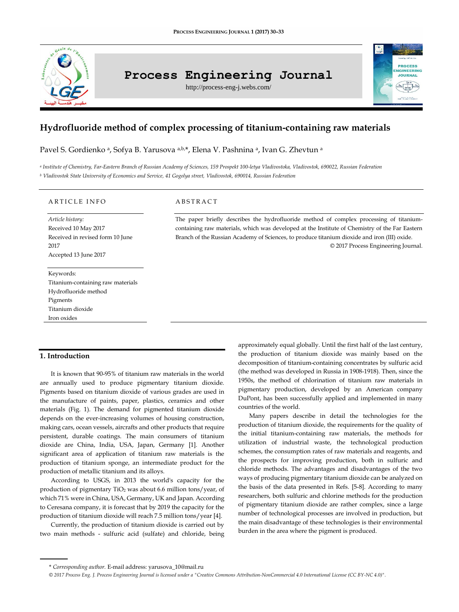

# **Process Engineering Journal**

http://process-eng-j.webs.com/

# **Hydrofluoride method of complex processing of titanium-containing raw materials**

Pavel S. Gordienko ª, Sofya B. Yarusova ª,b,\*, Elena V. Pashnina ª, Ivan G. Zhevtun ª

*<sup>a</sup> Institute of Chemistry, Far-Eastern Branch of Russian Academy of Sciences, 159 Prospekt 100-letya Vladivostoka, Vladivostok, 690022, Russian Federation <sup>b</sup> Vladivostok State University of Economics and Service, 41 Gogolya street, Vladivostok, 690014, Russian Federation*

### ARTICLE INFO

*Article history:* Received 10 May 2017 Received in revised form 10 June 2017 Accepted 13 June 2017

Keywords: Titanium-containing raw materials Hydrofluoride method Pigments Titanium dioxide Iron oxides

## $A$  B S T R  $A$  C T

The paper briefly describes the hydrofluoride method of complex processing of titaniumcontaining raw materials, which was developed at the Institute of Chemistry of the Far Eastern Branch of the Russian Academy of Sciences, to produce titanium dioxide and iron (III) oxide. © 2017 Process Engineering Journal.

# **1. Introduction**

It is known that 90-95% of titanium raw materials in the world are annually used to produce pigmentary titanium dioxide. Pigments based on titanium dioxide of various grades are used in the manufacture of paints, paper, plastics, ceramics and other materials (Fig. 1). The demand for pigmented titanium dioxide depends on the ever-increasing volumes of housing construction, making cars, ocean vessels, aircrafts and other products that require persistent, durable coatings. The main consumers of titanium dioxide are China, India, USA, Japan, Germany [1]. Another significant area of application of titanium raw materials is the production of titanium sponge, an intermediate product for the production of metallic titanium and its alloys.

According to USGS, in 2013 the world's capacity for the production of pigmentary TiO<sup>2</sup> was about 6.6 million tons/year, of which 71% were in China, USA, Germany, UK and Japan. According to Ceresana company, it is forecast that by 2019 the capacity for the production of titanium dioxide will reach 7.5 million tons/year [4].

Currently, the production of titanium dioxide is carried out by two main methods - sulfuric acid (sulfate) and chloride, being **IGINEERING IOUPMAL** 

Many papers describe in detail the technologies for the production of titanium dioxide, the requirements for the quality of the initial titanium-containing raw materials, the methods for utilization of industrial waste, the technological production schemes, the consumption rates of raw materials and reagents, and the prospects for improving production, both in sulfuric and chloride methods. The advantages and disadvantages of the two ways of producing pigmentary titanium dioxide can be analyzed on the basis of the data presented in Refs. [5-8]. According to many researchers, both sulfuric and chlorine methods for the production of pigmentary titanium dioxide are rather complex, since a large number of technological processes are involved in production, but the main disadvantage of these technologies is their environmental burden in the area where the pigment is produced.

approximately equal globally. Until the first half of the last century, the production of titanium dioxide was mainly based on the decomposition of titanium-containing concentrates by sulfuric acid (the method was developed in Russia in 1908-1918). Then, since the 1950s, the method of chlorination of titanium raw materials in pigmentary production, developed by an American company DuPont, has been successfully applied and implemented in many countries of the world.

<sup>\*</sup> *Corresponding author.* E-mail address: yarusova\_10@mail.ru

*<sup>© 2017</sup> Process Eng. J. Process Engineering Journal is licensed under [a "Creative Commons Attribution-NonCommercial 4.0 International License \(CC BY-NC 4.0\)".](https://creativecommons.org/licenses/by-nc/4.0/)*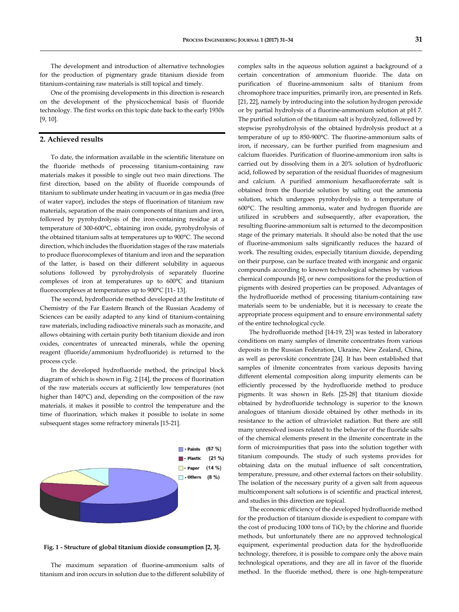The development and introduction of alternative technologies for the production of pigmentary grade titanium dioxide from titanium-containing raw materials is still topical and timely.

One of the promising developments in this direction is research on the development of the physicochemical basis of fluoride technology. The first works on this topic date back to the early 1930s [9, 10].

### **2. Achieved results**

To date, the information available in the scientific literature on the fluoride methods of processing titanium-containing raw materials makes it possible to single out two main directions. The first direction, based on the ability of fluoride compounds of titanium to sublimate under heating in vacuum or in gas media (free of water vapor), includes the steps of fluorination of titanium raw materials, separation of the main components of titanium and iron, followed by pyrohydrolysis of the iron-containing residue at a temperature of 300-600°С, obtaining iron oxide, pyrohydrolysis of the obtained titanium salts at temperatures up to 900°C. The second direction, which includes the fluoridation stages of the raw materials to produce fluorocomplexes of titanium and iron and the separation of the latter, is based on their different solubility in aqueous solutions followed by pyrohydrolysis of separately fluorine complexes of iron at temperatures up to 600°C and titanium fluorocomplexes at temperatures up to 900°C [11- 13].

The second, hydrofluoride method developed at the Institute of Chemistry of the Far Eastern Branch of the Russian Academy of Sciences can be easily adapted to any kind of titanium-containing raw materials, including radioactive minerals such as monazite, and allows obtaining with certain purity both titanium dioxide and iron oxides, concentrates of unreacted minerals, while the opening reagent (fluoride/ammonium hydrofluoride) is returned to the process cycle.

In the developed hydrofluoride method, the principal block diagram of which is shown in Fig. 2 [14], the process of fluorination of the raw materials occurs at sufficiently low temperatures (not higher than 140°C) and, depending on the composition of the raw materials, it makes it possible to control the temperature and the time of fluorination, which makes it possible to isolate in some subsequent stages some refractory minerals [15-21].



**Fig. 1 - Structure of global titanium dioxide consumption [2, 3].**

The maximum separation of fluorine-ammonium salts of titanium and iron occurs in solution due to the different solubility of complex salts in the aqueous solution against a background of a certain concentration of ammonium fluoride. The data on purification of fluorine-ammonium salts of titanium from chromophore trace impurities, primarily iron, are presented in Refs. [21, 22], namely by introducing into the solution hydrogen peroxide or by partial hydrolysis of a fluorine-ammonium solution at pH 7. The purified solution of the titanium salt is hydrolyzed, followed by stepwise pyrohydrolysis of the obtained hydrolysis product at a temperature of up to 850-900°C. The fluorine-ammonium salts of iron, if necessary, can be further purified from magnesium and calcium fluorides. Purification of fluorine-ammonium iron salts is carried out by dissolving them in a 20% solution of hydrofluoric acid, followed by separation of the residual fluorides of magnesium and calcium. A purified ammonium hexafluoroferrate salt is obtained from the fluoride solution by salting out the ammonia solution, which undergoes pyrohydrolysis to a temperature of 600°C. The resulting ammonia, water and hydrogen fluoride are utilized in scrubbers and subsequently, after evaporation, the resulting fluorine-ammonium salt is returned to the decomposition stage of the primary materials. It should also be noted that the use of fluorine-ammonium salts significantly reduces the hazard of work. The resulting oxides, especially titanium dioxide, depending on their purpose, can be surface treated with inorganic and organic compounds according to known technological schemes by various chemical compounds [6], or new compositions for the production of pigments with desired properties can be proposed. Advantages of the hydrofluoride method of processing titanium-containing raw materials seem to be undeniable, but it is necessary to create the appropriate process equipment and to ensure environmental safety of the entire technological cycle.

The hydrofluoride method [14-19, 23] was tested in laboratory conditions on many samples of ilmenite concentrates from various deposits in the Russian Federation, Ukraine, New Zealand, China, as well as perovskite concentrate [24]. It has been established that samples of ilmenite concentrates from various deposits having different elemental composition along impurity elements can be efficiently processed by the hydrofluoride method to produce pigments. It was shown in Refs. [25-28] that titanium dioxide obtained by hydrofluoride technology is superior to the known analogues of titanium dioxide obtained by other methods in its resistance to the action of ultraviolet radiation. But there are still many unresolved issues related to the behavior of the fluoride salts of the chemical elements present in the ilmenite concentrate in the form of microimpurities that pass into the solution together with titanium compounds. The study of such systems provides for obtaining data on the mutual influence of salt concentration, temperature, pressure, and other external factors on their solubility. The isolation of the necessary purity of a given salt from aqueous multicomponent salt solutions is of scientific and practical interest, and studies in this direction are topical.

The economic efficiency of the developed hydrofluoride method for the production of titanium dioxide is expedient to compare with the cost of producing  $1000$  tons of  $TiO<sub>2</sub>$  by the chlorine and fluoride methods, but unfortunately there are no approved technological equipment, experimental production data for the hydrofluoride technology, therefore, it is possible to compare only the above main technological operations, and they are all in favor of the fluoride method. In the fluoride method, there is one high-temperature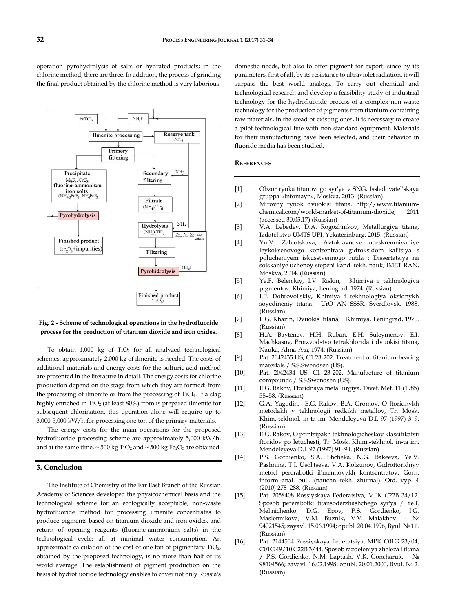

Precipitate

MgE<sub>2</sub>, CaE<sub>2</sub> fluorine-ammonium iron solts<br>
(NH<sub>4</sub>)<sub>3</sub>FeF<sub>6</sub>, NH<sub>4</sub>FeF<sub>3</sub>

Pyrohydrolysis

Finished product  $(Fe<sub>2</sub>O<sub>3</sub> + impurities)$ 

operation pyrohydrolysis of salts or hydrated products; in the chlorine method, there are three. In addition, the process of grinding the final product obtained by the chlorine method is very laborious.

 $\text{NH}_4\text{F}$ 

Primery filtering Reserve tank

 $NH<sub>2</sub>$ 

NH<sub>3</sub>

Zn, Al, Zr and others

NH<sub>4</sub>F

Secondary filtering

Filtrate  $\rm (NH_4)_2\rm TiF_6$ 

Hydrolysis  $(NH<sub>4</sub>)<sub>2</sub>TiF<sub>6</sub>$ 

Filtering

Pyrohidrolysis

Finished product  $(TiO<sub>n</sub>)$ 

### **Fig. 2 - Scheme of technological operations in the hydrofluoride process for the production of titanium dioxide and iron oxides.**

To obtain  $1,000$  kg of TiO<sub>2</sub> for all analyzed technological schemes, approximately 2,000 kg of ilmenite is needed. The costs of additional materials and energy costs for the sulfuric acid method are presented in the literature in detail. The energy costs for chlorine production depend on the stage from which they are formed: from the processing of ilmenite or from the processing of TiCl4. If a slag highly enriched in TiO<sub>2</sub> (at least 80%) from is prepared ilmenite for subsequent chlorination, this operation alone will require up to 3,000-5,000 kW/h for processing one ton of the primary materials.

The energy costs for the main operations for the proposed hydrofluoride processing scheme are approximately 5,000 kW/h, and at the same time,  $\sim$  500 kg TiO<sub>2</sub> and  $\sim$  500 kg Fe<sub>2</sub>O<sub>3</sub> are obtained.

### **3. Conclusion**

The Institute of Chemistry of the Far East Branch of the Russian Academy of Sciences developed the physicochemical basis and the technological scheme for an ecologically acceptable, non-waste hydrofluoride method for processing ilmenite concentrates to produce pigments based on titanium dioxide and iron oxides, and return of opening reagents (fluorine-ammonium salts) in the technological cycle; all at minimal water consumption. An approximate calculation of the cost of one ton of pigmentary TiO2, obtained by the proposed technology, is no more than half of its world average. The establishment of pigment production on the basis of hydrofluoride technology enables to cover not only Russia's

domestic needs, but also to offer pigment for export, since by its parameters, first of all, by its resistance to ultraviolet radiation, it will surpass the best world analogs. To carry out chemical and technological research and develop a feasibility study of industrial technology for the hydrofluoride process of a complex non-waste technology for the production of pigments from titanium-containing raw materials, in the stead of existing ones, it is necessary to create a pilot technological line with non-standard equipment. Materials for their manufacturing have been selected, and their behavior in fluoride media has been studied.

#### **REFERENCES**

- [1] Obzor rynka titanovogo syr'ya v SNG, Issledovatel'skaya gruppa «Infomayn», Moskva, 2013. (Russian)
- [2] Mirovoy rynok dvuokisi titana. http://www.titaniumchemical.com/world-market-of-titanium-dioxide, 2011 (accessed 30.05.17) (Russian)
- [3] V.A. Lebedev, D.A. Rogozhnikov, Metallurgiya titana, Izdatel'stvo UMTS UPI, Yekaterinburg, 2015. (Russian)
- [4] Yu.V. Zablotskaya, Avtoklavnoye obeskremnivaniye leykoksenovogo kontsentrata gidroksidom kal'tsiya s polucheniyem iskusstvennogo rutila : Dissertatsiya na soiskaniye uchenoy stepeni kand. tekh. nauk, IMET RAN, Moskva, 2014. (Russian)
- [5] Ye.F. Belen'kiy, I.V. Riskin, Khimiya i tekhnologiya pigmentov, Khimiya, Leningrad, 1974. (Russian)
- [6] I.P. Dobrovol'skiy, Khimiya i tekhnologiya oksidnykh soyedineniy titana, UrO AN SSSR, Sverdlovsk, 1988. (Russian)
- [7] L.G. Khazin, Dvuokis' titana, Khimiya, Leningrad, 1970. (Russian)
- [8] H.A. Baytenev, H.H. Ruban, E.H. Suleymenov, E.I. Machkasov, Proizvodstvo tetrakhlorida i dvuokisi titana, Nauka, Alma-Ata, 1974. (Russian)
- [9] Pat. 2042435 US, C1 23-202. Treatment of titanium-bearing materials / S.S.Swendsen (US).
- [10] Pat. 2042434 US, C1 23-202. Manufacture of titanium compounds / S.S.Swendsen (US).
- [11] E.G. Rakov, Ftoridnaya metallurgiya, Tsvet. Met. 11 (1985) 55–58. (Russian)
- [12] G.A. Yagodin, E.G. Rakov, B.A. Gromov, O ftoridnykh metodakh v tekhnologii redkikh metallov, Tr. Mosk. Khim.-tekhnol. in-ta im. Mendeleyeva D.I. 97 (1997) 3–9. (Russian)
- [13] E.G. Rakov, O printsipakh tekhnologicheskoy klassifikatsii ftoridov po letuchesti, Tr. Mosk. Khim.-tekhnol. in-ta im. Mendeleyeva D.I. 97 (1997) 91–94. (Russian)
- [14] P.S. Gordienko, S.A. Shcheka, N.G. Bakeeva, Ye.V. Pashnina, T.I. Usol'tseva, V.A. Kolzunov, Gidroftoridnyy metod pererabotki il'menitovykh kontsentratov, Gorn. inform.-anal. bull. (nauchn.-tekh. zhurnal). Otd. vyp. 4 (2010) 278–288. (Russian)
- [15] Pat. 2058408 Rossiyskaya Federatsiya, MPK С22B 34/12. Sposob pererabotki titansoderzhashchego syr'ya / Ye.I. Mel'nichenko, D.G. Epov, P.S. Gordienko, I.G. Maslennikova, V.M. Buznik, V.V. Malakhov. – № 94021545; zayavl. 15.06.1994; opubl. 20.04.1996, Byul. № 11. (Russian)
- [16] Pat. 2144504 Rossiyskaya Federatsiya, MPK C01G 23/04; C01G 49/10 C22B 3/44. Sposob razdeleniya zheleza i titana / P.S. Gordienko, N.M. Laptash, V.K. Goncharuk. – № 98104566; zayavl. 16.02.1998; opubl. 20.01.2000, Byul. № 2. (Russian)